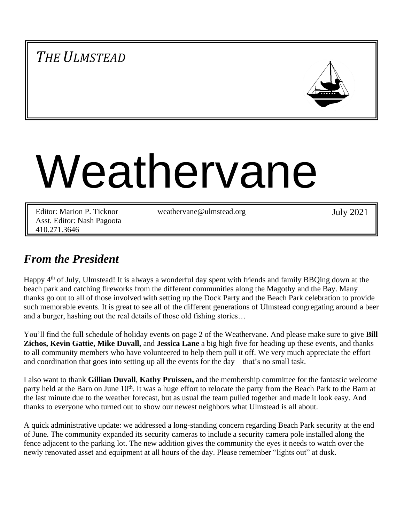# *THE ULMSTEAD*



# Weathervane

Editor: Marion P. Ticknor Asst. Editor: Nash Pagoota 410.271.3646

weathervane@ulmstead.org July 2021

## *From the President*

Happy 4<sup>th</sup> of July, Ulmstead! It is always a wonderful day spent with friends and family BBQing down at the beach park and catching fireworks from the different communities along the Magothy and the Bay. Many thanks go out to all of those involved with setting up the Dock Party and the Beach Park celebration to provide such memorable events. It is great to see all of the different generations of Ulmstead congregating around a beer and a burger, hashing out the real details of those old fishing stories…

You'll find the full schedule of holiday events on page 2 of the Weathervane. And please make sure to give **Bill Zichos, Kevin Gattie, Mike Duvall,** and **Jessica Lane** a big high five for heading up these events, and thanks to all community members who have volunteered to help them pull it off. We very much appreciate the effort and coordination that goes into setting up all the events for the day—that's no small task.

I also want to thank **Gillian Duvall**, **Kathy Pruissen,** and the membership committee for the fantastic welcome party held at the Barn on June 10<sup>th</sup>. It was a huge effort to relocate the party from the Beach Park to the Barn at the last minute due to the weather forecast, but as usual the team pulled together and made it look easy. And thanks to everyone who turned out to show our newest neighbors what Ulmstead is all about.

A quick administrative update: we addressed a long-standing concern regarding Beach Park security at the end of June. The community expanded its security cameras to include a security camera pole installed along the fence adjacent to the parking lot. The new addition gives the community the eyes it needs to watch over the newly renovated asset and equipment at all hours of the day. Please remember "lights out" at dusk.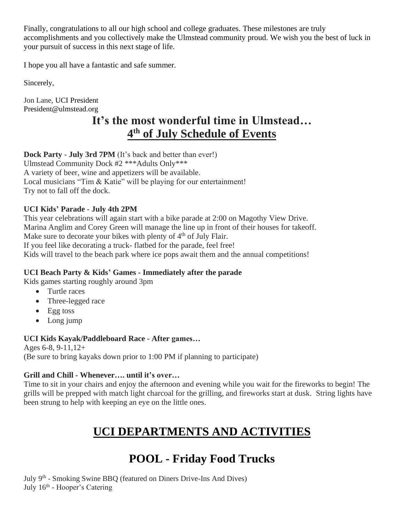Finally, congratulations to all our high school and college graduates. These milestones are truly accomplishments and you collectively make the Ulmstead community proud. We wish you the best of luck in your pursuit of success in this next stage of life.

I hope you all have a fantastic and safe summer.

Sincerely,

Jon Lane, UCI President President@ulmstead.org

# **It's the most wonderful time in Ulmstead… 4 th of July Schedule of Events**

**Dock Party** - **July 3rd 7PM** (It's back and better than ever!)

Ulmstead Community Dock #2 \*\*\*Adults Only\*\*\* A variety of beer, wine and appetizers will be available.

Local musicians "Tim & Katie" will be playing for our entertainment!

Try not to fall off the dock.

## **UCI Kids' Parade - July 4th 2PM**

This year celebrations will again start with a bike parade at 2:00 on Magothy View Drive. Marina Anglim and Corey Green will manage the line up in front of their houses for takeoff. Make sure to decorate your bikes with plenty of 4<sup>th</sup> of July Flair. If you feel like decorating a truck- flatbed for the parade, feel free! Kids will travel to the beach park where ice pops await them and the annual competitions!

## **UCI Beach Party & Kids' Games - Immediately after the parade**

Kids games starting roughly around 3pm

- Turtle races
- Three-legged race
- Egg toss
- Long jump

## **UCI Kids Kayak/Paddleboard Race - After games…**

Ages 6-8, 9-11,12+ (Be sure to bring kayaks down prior to 1:00 PM if planning to participate)

## **Grill and Chill - Whenever…. until it's over…**

Time to sit in your chairs and enjoy the afternoon and evening while you wait for the fireworks to begin! The grills will be prepped with match light charcoal for the grilling, and fireworks start at dusk. String lights have been strung to help with keeping an eye on the little ones.

# **UCI DEPARTMENTS AND ACTIVITIES**

# **POOL - Friday Food Trucks**

July 9<sup>th</sup> - Smoking Swine BBQ (featured on Diners Drive-Ins And Dives) July 16<sup>th</sup> - Hooper's Catering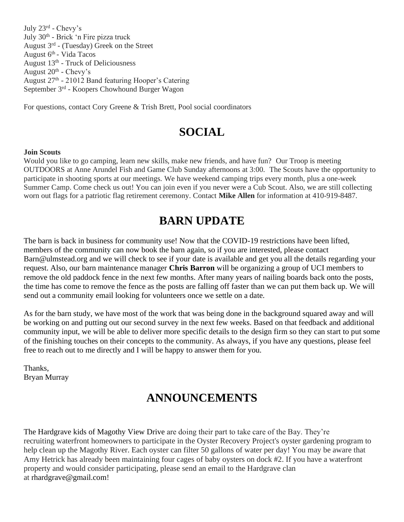July 23<sup>rd</sup> - Chevy's July 30<sup>th</sup> - Brick 'n Fire pizza truck August 3<sup>rd</sup> - (Tuesday) Greek on the Street August 6<sup>th</sup> - Vida Tacos August 13<sup>th</sup> - Truck of Deliciousness August 20<sup>th</sup> - Chevy's August 27<sup>th</sup> - 21012 Band featuring Hooper's Catering September 3<sup>rd</sup> - Koopers Chowhound Burger Wagon

For questions, contact Cory Greene & Trish Brett, Pool social coordinators

## **SOCIAL**

#### **Join Scouts**

Would you like to go camping, learn new skills, make new friends, and have fun? Our Troop is meeting OUTDOORS at Anne Arundel Fish and Game Club Sunday afternoons at 3:00. The Scouts have the opportunity to participate in shooting sports at our meetings. We have weekend camping trips every month, plus a one-week Summer Camp. Come check us out! You can join even if you never were a Cub Scout. Also, we are still collecting worn out flags for a patriotic flag retirement ceremony. Contact **Mike Allen** for information at 410-919-8487.

## **BARN UPDATE**

The barn is back in business for community use! Now that the COVID-19 restrictions have been lifted, members of the community can now book the barn again, so if you are interested, please contact Barn@ulmstead.org and we will check to see if your date is available and get you all the details regarding your request. Also, our barn maintenance manager **Chris Barron** will be organizing a group of UCI members to remove the old paddock fence in the next few months. After many years of nailing boards back onto the posts, the time has come to remove the fence as the posts are falling off faster than we can put them back up. We will send out a community email looking for volunteers once we settle on a date.

As for the barn study, we have most of the work that was being done in the background squared away and will be working on and putting out our second survey in the next few weeks. Based on that feedback and additional community input, we will be able to deliver more specific details to the design firm so they can start to put some of the finishing touches on their concepts to the community. As always, if you have any questions, please feel free to reach out to me directly and I will be happy to answer them for you.

Thanks, Bryan Murray

## **ANNOUNCEMENTS**

The Hardgrave kids of Magothy View Drive are doing their part to take care of the Bay. They're recruiting waterfront homeowners to participate in the Oyster Recovery Project's oyster gardening program to help clean up the Magothy River. Each oyster can filter 50 gallons of water per day! You may be aware that Amy Hetrick has already been maintaining four cages of baby oysters on dock #2. If you have a waterfront property and would consider participating, please send an email to the Hardgrave clan at rhardgrave@gmail.com!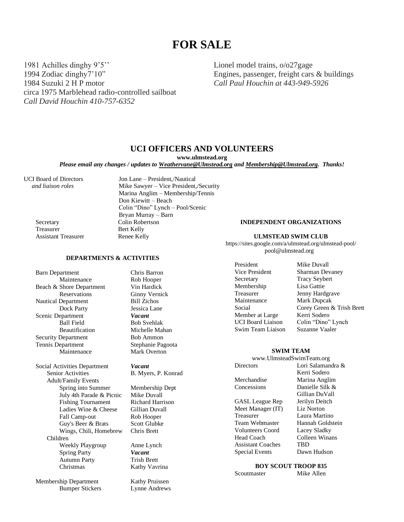## **FOR SALE**

1981 Achilles dinghy 9'5'' 1994 Zodiac dinghy7'10" 1984 Suzuki 2 H P motor circa 1975 Marblehead radio-controlled sailboat *Call David Houchin 410-757-6352*

**DEPARTMENTS & ACTIVITIES**

Lionel model trains, o/o27gage Engines, passenger, freight cars & buildings *Call Paul Houchin at 443-949-5926*

#### **UCI OFFICERS AND VOLUNTEERS**

**www.ulmstead.org**

*Please email any changes / updates to Weathervane@Ulmstead.org and Membership@Ulmstead.org. Thanks!*

UCI Board of Directors Jon Lane – President,/Nautical

Scenic Department<br>Ball Field

Adult/Family Events

July 4th Parade & Picnic

Ladies Wine & Cheese

Wings, Chili, Homebrew

 *and liaison roles* Mike Sawyer – Vice President,/Security Marina Anglim – Membership/Tennis Don Kiewitt – Beach Colin "Dino" Lynch – Pool/Scenic Bryan Murray – Barn Secretary Colin Robertson Treasurer Bert Kelly Assistant Treasurer Renee Kelly

#### **INDEPENDENT ORGANIZATIONS**

#### **ULMSTEAD SWIM CLUB**

https://sites.google.com/a/ulmstead.org/ulmstead-pool/ pool@ulmstead.org

President Mike Duvall Vice President Sharman Devaney Secretary Tracy Seybert Membership Lisa Gattie Treasurer Jenny Hardgrave<br>
Maintenance Mark Dupcak Member at Large Kerri Sodero<br>UCI Board Liaison Colin "Dino" Swim Team Liaison Suzanne Vaaler

Mark Dupcak Social Corey Green & Trish Brett Colin "Dino" Lynch

#### **SWIM TEAM**

| www.UlmsteadSwimTeam.org |                   |  |  |
|--------------------------|-------------------|--|--|
| <b>Directors</b>         | Lori Salamandra & |  |  |
|                          | Kerri Sodero      |  |  |
| Merchandise              | Marina Anglim     |  |  |
| Concessions              | Danielle Silk &   |  |  |
|                          | Gillian DuVall    |  |  |
| <b>GASL</b> League Rep   | Jerilyn Deitch    |  |  |
| Meet Manager (IT)        | Liz Norton        |  |  |
| Treasurer                | Laura Martino     |  |  |
| Team Webmaster           | Hannah Goldstein  |  |  |
| <b>Volunteers Coord</b>  | Lacey Sladky      |  |  |
| Head Coach               | Colleen Winans    |  |  |
| <b>Assistant Coaches</b> | TBD               |  |  |
| <b>Special Events</b>    | Dawn Hudson       |  |  |
|                          |                   |  |  |

#### **BOY SCOUT TROOP 835**

Scoutmaster Mike Allen

Membership Department Kathy Pruissen Bumper Stickers Lynne Andrews

Autumn Party

Children

Barn Department Chris Barron Maintenance Rob Hooper Beach & Shore Department Vin Hardick Reservations Ginny Vernick Nautical Department Bill Zichos Dock Party<br>
enartment<br>
Vacant Ball Field<br>Beautification<br>Michelle Mah Michelle Mahan Security Department Bob Ammon Tennis Department Stephanie Pagoota Maintenance Mark Overton

Social Activities Department *Vacant*<br>Senior Activities **B.** Mye B. Myers, P. Konrad

> Spring into Summer Membership Dept<br>July 4th Parade & Picnic Mike Duvall Fishing Tournament Richard Harrison<br>Ladies Wine & Cheese Gillian Duvall Fall Camp-out Rob Hooper Guy's Beer & Brats<br>
> Wings, Chili, Homebrew Chris Brett

Weekly Playgroup Anne Lynch Spring Party *Vacant*<br>
Autumn Party **Trish Brett** Christmas Kathy Vavrina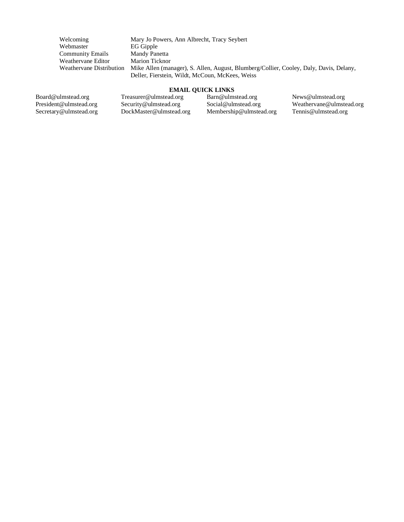Welcoming Mary Jo Powers, Ann Albrecht, Tracy Seybert Webmaster EG Gipple Community Emails Mandy Panetta Weathervane Editor Marion Ticknor<br>Weathervane Distribution Mike Allen (mar Mike Allen (manager), S. Allen, August, Blumberg/Collier, Cooley, Daly, Davis, Delany, Deller, Fierstein, Wildt, McCoun, McKees, Weiss

#### **EMAIL QUICK LINKS**

Board@ulmstead.org President@ulmstead.org Secretary@ulmstead.org Treasurer@ulmstead.org Security@ulmstead.org DockMaster@ulmstead.org Barn@ulmstead.org Social@ulmstead.org Membership@ulmstead.org News@ulmstead.org Weathervane@ulmstead.org Tennis@ulmstead.org